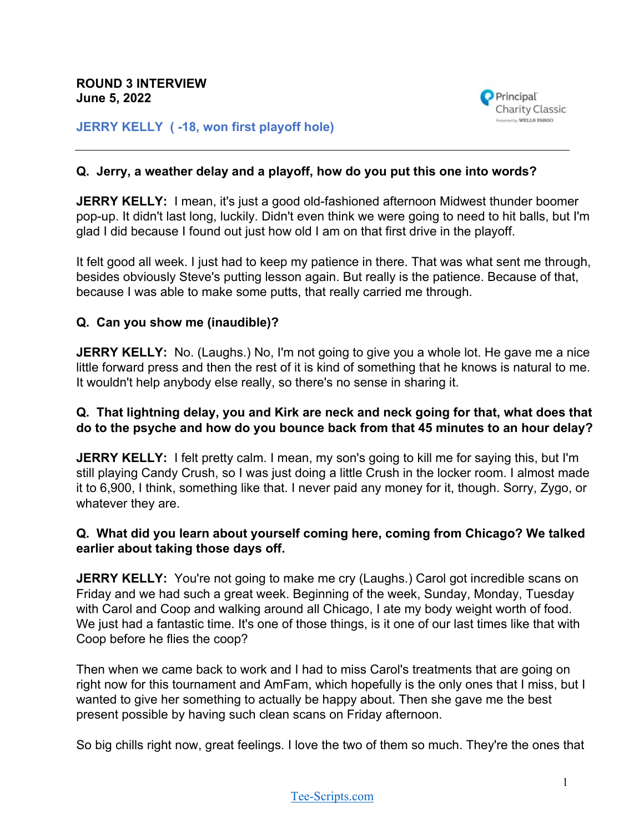

**JERRY KELLY ( -18, won first playoff hole)**

#### **Q. Jerry, a weather delay and a playoff, how do you put this one into words?**

**JERRY KELLY:** I mean, it's just a good old-fashioned afternoon Midwest thunder boomer pop-up. It didn't last long, luckily. Didn't even think we were going to need to hit balls, but I'm glad I did because I found out just how old I am on that first drive in the playoff.

It felt good all week. I just had to keep my patience in there. That was what sent me through, besides obviously Steve's putting lesson again. But really is the patience. Because of that, because I was able to make some putts, that really carried me through.

### **Q. Can you show me (inaudible)?**

**JERRY KELLY:** No. (Laughs.) No, I'm not going to give you a whole lot. He gave me a nice little forward press and then the rest of it is kind of something that he knows is natural to me. It wouldn't help anybody else really, so there's no sense in sharing it.

### **Q. That lightning delay, you and Kirk are neck and neck going for that, what does that do to the psyche and how do you bounce back from that 45 minutes to an hour delay?**

**JERRY KELLY:** I felt pretty calm. I mean, my son's going to kill me for saying this, but I'm still playing Candy Crush, so I was just doing a little Crush in the locker room. I almost made it to 6,900, I think, something like that. I never paid any money for it, though. Sorry, Zygo, or whatever they are.

### **Q. What did you learn about yourself coming here, coming from Chicago? We talked earlier about taking those days off.**

**JERRY KELLY:** You're not going to make me cry (Laughs.) Carol got incredible scans on Friday and we had such a great week. Beginning of the week, Sunday, Monday, Tuesday with Carol and Coop and walking around all Chicago, I ate my body weight worth of food. We just had a fantastic time. It's one of those things, is it one of our last times like that with Coop before he flies the coop?

Then when we came back to work and I had to miss Carol's treatments that are going on right now for this tournament and AmFam, which hopefully is the only ones that I miss, but I wanted to give her something to actually be happy about. Then she gave me the best present possible by having such clean scans on Friday afternoon.

So big chills right now, great feelings. I love the two of them so much. They're the ones that